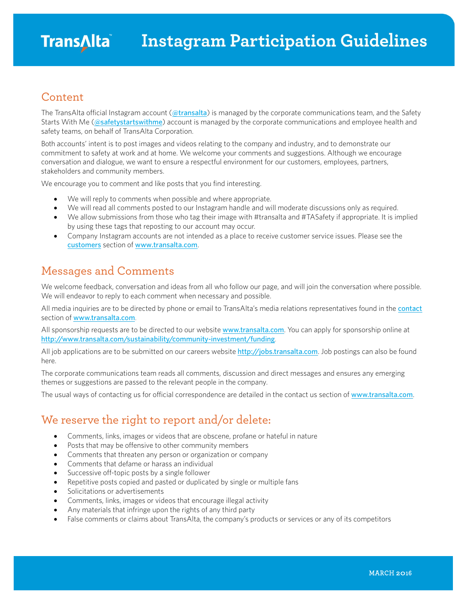#### Content

The TransAlta official Instagram account ([@transalta](https://instagram.com/transalta)) is managed by the corporate communications team, and the Safety Starts With Me ([@safetystartswithme](https://instagram.com/safetystartswithme)) account is managed by the corporate communications and employee health and safety teams, on behalf of TransAlta Corporation.

Both accounts' intent is to post images and videos relating to the company and industry, and to demonstrate our commitment to safety at work and at home. We welcome your comments and suggestions. Although we encourage conversation and dialogue, we want to ensure a respectful environment for our customers, employees, partners, stakeholders and community members.

We encourage you to comment and like posts that you find interesting.

- We will reply to comments when possible and where appropriate.
- We will read all comments posted to our Instagram handle and will moderate discussions only as required.
- We allow submissions from those who tag their image with #transalta and #TASafety if appropriate. It is implied by using these tags that reposting to our account may occur.
- Company Instagram accounts are not intended as a place to receive customer service issues. Please see the [customers](http://www.transalta.com/customers) section of [www.transalta.com](http://www.transalta.com/).

### Messages and Comments

We welcome feedback, conversation and ideas from all who follow our page, and will join the conversation where possible. We will endeavor to reply to each comment when necessary and possible.

All media inquiries are to be directed by phone or email to TransAlta's media relations representatives found in the [contact](http://www.transalta.com/contact#headoffice) section of [www.transalta.com](http://www.transalta.com/).

All sponsorship requests are to be directed to our website [www.transalta.com](http://www.transalta.com/). You can apply for sponsorship online at <http://www.transalta.com/sustainability/community-investment/funding>.

All job applications are to be submitted on our careers website [http://jobs.transalta.com](http://jobs.transalta.com/). Job postings can also be found here.

The corporate communications team reads all comments, discussion and direct messages and ensures any emerging themes or suggestions are passed to the relevant people in the company.

The usual ways of contacting us for official correspondence are detailed in the contact us section of [www.transalta.com](http://www.transalta.com/).

### We reserve the right to report and/or delete:

- Comments, links, images or videos that are obscene, profane or hateful in nature
- Posts that may be offensive to other community members
- Comments that threaten any person or organization or company
- Comments that defame or harass an individual
- Successive off-topic posts by a single follower
- Repetitive posts copied and pasted or duplicated by single or multiple fans
- Solicitations or advertisements
- Comments, links, images or videos that encourage illegal activity
- Any materials that infringe upon the rights of any third party
- False comments or claims about TransAlta, the company's products or services or any of its competitors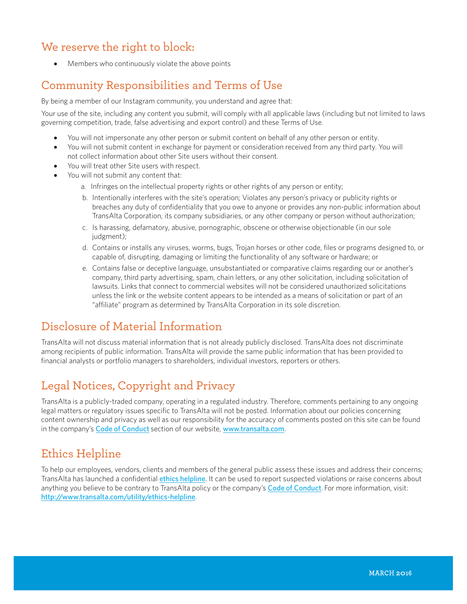## We reserve the right to block:

• Members who continuously violate the above points

## Community Responsibilities and Terms of Use

By being a member of our Instagram community, you understand and agree that:

Your use of the site, including any content you submit, will comply with all applicable laws (including but not limited to laws governing competition, trade, false advertising and export control) and these Terms of Use.

- You will not impersonate any other person or submit content on behalf of any other person or entity.
- You will not submit content in exchange for payment or consideration received from any third party. You will not collect information about other Site users without their consent.
- You will treat other Site users with respect.
- You will not submit any content that:
	- a. Infringes on the intellectual property rights or other rights of any person or entity;
	- b. Intentionally interferes with the site's operation; Violates any person's privacy or publicity rights or breaches any duty of confidentiality that you owe to anyone or provides any non-public information about TransAlta Corporation, its company subsidiaries, or any other company or person without authorization;
	- c. Is harassing, defamatory, abusive, pornographic, obscene or otherwise objectionable (in our sole judgment);
	- d. Contains or installs any viruses, worms, bugs, Trojan horses or other code, files or programs designed to, or capable of, disrupting, damaging or limiting the functionality of any software or hardware; or
	- e. Contains false or deceptive language, unsubstantiated or comparative claims regarding our or another's company, third party advertising, spam, chain letters, or any other solicitation, including solicitation of lawsuits. Links that connect to commercial websites will not be considered unauthorized solicitations unless the link or the website content appears to be intended as a means of solicitation or part of an "affiliate" program as determined by TransAlta Corporation in its sole discretion.

## Disclosure of Material Information

TransAlta will not discuss material information that is not already publicly disclosed. TransAlta does not discriminate among recipients of public information. TransAlta will provide the same public information that has been provided to financial analysts or portfolio managers to shareholders, individual investors, reporters or others.

## Legal Notices, Copyright and Privacy

TransAlta is a publicly-traded company, operating in a regulated industry. Therefore, comments pertaining to any ongoing legal matters or regulatory issues specific to TransAlta will not be posted. Information about our policies concerning content ownership and privacy as well as our responsibility for the accuracy of comments posted on this site can be found in the company's Code [of Conduct](http://www.transalta.com/about-us/governance/corporate-code-conduct) section of our website, [www.transalta.com](http://www.transalta.com/).

# Ethics Helpline

To help our employees, vendors, clients and members of the general public assess these issues and address their concerns; TransAlta has launched a confidential ethics [helpline](http://www.transalta.com/utility/ethics-helpline). It can be used to report suspected violations or raise concerns about anything you believe to be contrary to TransAlta policy or the company's Code [of Conduct](http://www.transalta.com/about-us/governance/corporate-code-conduct). For more information, visit: <http://www.transalta.com/utility/ethics-helpline>.